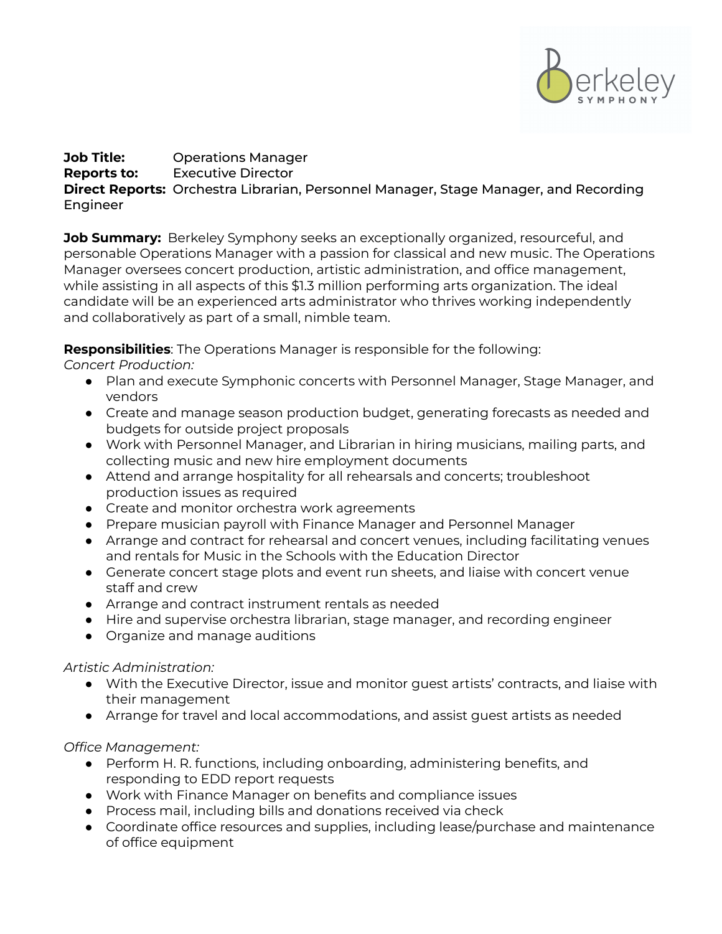

## **Job Title:** Operations Manager **Reports to:** Executive Director **Direct Reports:** Orchestra Librarian, Personnel Manager, Stage Manager, and Recording Engineer

**Job Summary:** Berkeley Symphony seeks an exceptionally organized, resourceful, and personable Operations Manager with a passion for classical and new music. The Operations Manager oversees concert production, artistic administration, and office management, while assisting in all aspects of this \$1.3 million performing arts organization. The ideal candidate will be an experienced arts administrator who thrives working independently and collaboratively as part of a small, nimble team.

**Responsibilities**: The Operations Manager is responsible for the following:

*Concert Production:*

- Plan and execute Symphonic concerts with Personnel Manager, Stage Manager, and vendors
- Create and manage season production budget, generating forecasts as needed and budgets for outside project proposals
- Work with Personnel Manager, and Librarian in hiring musicians, mailing parts, and collecting music and new hire employment documents
- Attend and arrange hospitality for all rehearsals and concerts; troubleshoot production issues as required
- Create and monitor orchestra work agreements
- Prepare musician payroll with Finance Manager and Personnel Manager
- Arrange and contract for rehearsal and concert venues, including facilitating venues and rentals for Music in the Schools with the Education Director
- Generate concert stage plots and event run sheets, and liaise with concert venue staff and crew
- Arrange and contract instrument rentals as needed
- Hire and supervise orchestra librarian, stage manager, and recording engineer
- Organize and manage auditions

## *Artistic Administration:*

- With the Executive Director, issue and monitor guest artists' contracts, and liaise with their management
- Arrange for travel and local accommodations, and assist guest artists as needed

*Office Management:*

- Perform H. R. functions, including onboarding, administering benefits, and responding to EDD report requests
- Work with Finance Manager on benefits and compliance issues
- Process mail, including bills and donations received via check
- Coordinate office resources and supplies, including lease/purchase and maintenance of office equipment